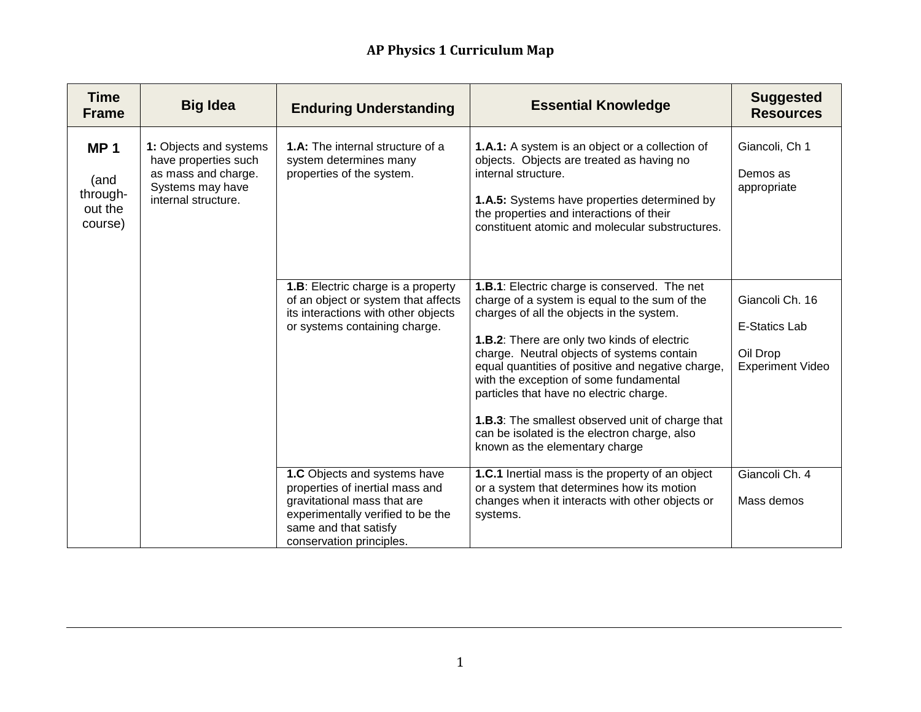| <b>Time</b><br><b>Frame</b>                          | <b>Big Idea</b>                                                                                                  | <b>Enduring Understanding</b>                                                                                                                                                            | <b>Essential Knowledge</b>                                                                                                                                                                                                                                                                                                                                                                                             | <b>Suggested</b><br><b>Resources</b>                         |
|------------------------------------------------------|------------------------------------------------------------------------------------------------------------------|------------------------------------------------------------------------------------------------------------------------------------------------------------------------------------------|------------------------------------------------------------------------------------------------------------------------------------------------------------------------------------------------------------------------------------------------------------------------------------------------------------------------------------------------------------------------------------------------------------------------|--------------------------------------------------------------|
| <b>MP1</b><br>(and<br>through-<br>out the<br>course) | 1: Objects and systems<br>have properties such<br>as mass and charge.<br>Systems may have<br>internal structure. | <b>1.A:</b> The internal structure of a<br>system determines many<br>properties of the system.<br>1.B: Electric charge is a property<br>of an object or system that affects              | 1.A.1: A system is an object or a collection of<br>objects. Objects are treated as having no<br>internal structure.<br>1.A.5: Systems have properties determined by<br>the properties and interactions of their<br>constituent atomic and molecular substructures.<br>1.B.1: Electric charge is conserved. The net<br>charge of a system is equal to the sum of the                                                    | Giancoli, Ch 1<br>Demos as<br>appropriate<br>Giancoli Ch. 16 |
|                                                      |                                                                                                                  | its interactions with other objects<br>or systems containing charge.                                                                                                                     | charges of all the objects in the system.<br>1.B.2: There are only two kinds of electric<br>charge. Neutral objects of systems contain<br>equal quantities of positive and negative charge,<br>with the exception of some fundamental<br>particles that have no electric charge.<br>1.B.3: The smallest observed unit of charge that<br>can be isolated is the electron charge, also<br>known as the elementary charge | <b>E-Statics Lab</b><br>Oil Drop<br><b>Experiment Video</b>  |
|                                                      |                                                                                                                  | 1.C Objects and systems have<br>properties of inertial mass and<br>gravitational mass that are<br>experimentally verified to be the<br>same and that satisfy<br>conservation principles. | 1.C.1 Inertial mass is the property of an object<br>or a system that determines how its motion<br>changes when it interacts with other objects or<br>systems.                                                                                                                                                                                                                                                          | Giancoli Ch. 4<br>Mass demos                                 |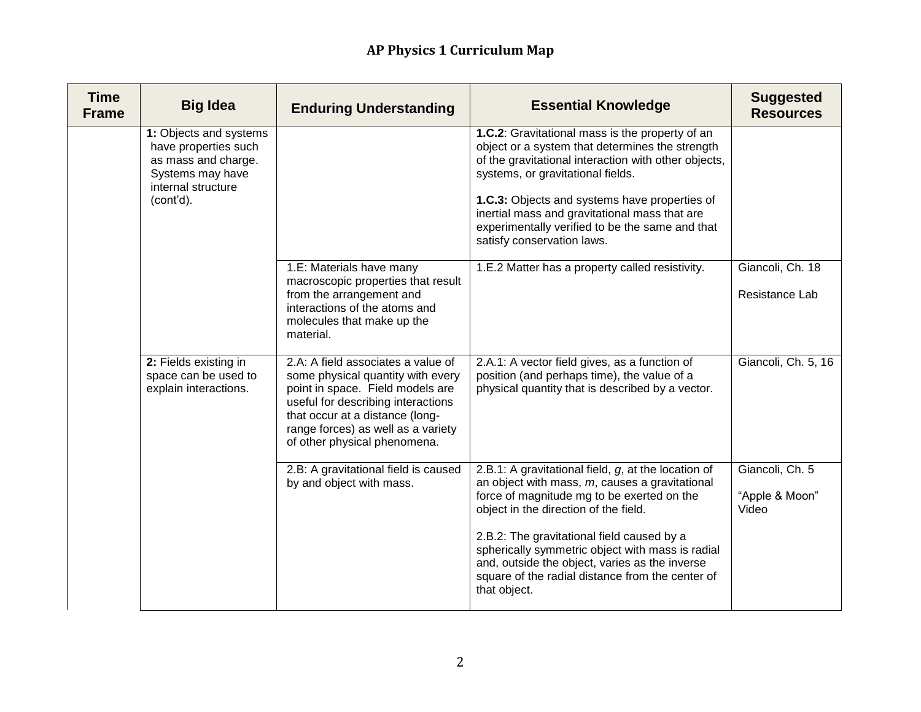| <b>Time</b><br><b>Frame</b> | <b>Big Idea</b>                                                                                                              | <b>Enduring Understanding</b>                                                                                                                                                                                                                              | <b>Essential Knowledge</b>                                                                                                                                                                                                                                                                                                                                                                                              | <b>Suggested</b><br><b>Resources</b>       |
|-----------------------------|------------------------------------------------------------------------------------------------------------------------------|------------------------------------------------------------------------------------------------------------------------------------------------------------------------------------------------------------------------------------------------------------|-------------------------------------------------------------------------------------------------------------------------------------------------------------------------------------------------------------------------------------------------------------------------------------------------------------------------------------------------------------------------------------------------------------------------|--------------------------------------------|
|                             | 1: Objects and systems<br>have properties such<br>as mass and charge.<br>Systems may have<br>internal structure<br>(cont'd). |                                                                                                                                                                                                                                                            | 1.C.2: Gravitational mass is the property of an<br>object or a system that determines the strength<br>of the gravitational interaction with other objects,<br>systems, or gravitational fields.<br>1.C.3: Objects and systems have properties of<br>inertial mass and gravitational mass that are<br>experimentally verified to be the same and that<br>satisfy conservation laws.                                      |                                            |
|                             |                                                                                                                              | 1.E: Materials have many<br>macroscopic properties that result<br>from the arrangement and<br>interactions of the atoms and<br>molecules that make up the<br>material.                                                                                     | 1.E.2 Matter has a property called resistivity.                                                                                                                                                                                                                                                                                                                                                                         | Giancoli, Ch. 18<br>Resistance Lab         |
|                             | 2: Fields existing in<br>space can be used to<br>explain interactions.                                                       | 2.A: A field associates a value of<br>some physical quantity with every<br>point in space. Field models are<br>useful for describing interactions<br>that occur at a distance (long-<br>range forces) as well as a variety<br>of other physical phenomena. | 2.A.1: A vector field gives, as a function of<br>position (and perhaps time), the value of a<br>physical quantity that is described by a vector.                                                                                                                                                                                                                                                                        | Giancoli, Ch. 5, 16                        |
|                             |                                                                                                                              | 2.B: A gravitational field is caused<br>by and object with mass.                                                                                                                                                                                           | 2.B.1: A gravitational field, g, at the location of<br>an object with mass, $m$ , causes a gravitational<br>force of magnitude mg to be exerted on the<br>object in the direction of the field.<br>2.B.2: The gravitational field caused by a<br>spherically symmetric object with mass is radial<br>and, outside the object, varies as the inverse<br>square of the radial distance from the center of<br>that object. | Giancoli, Ch. 5<br>"Apple & Moon"<br>Video |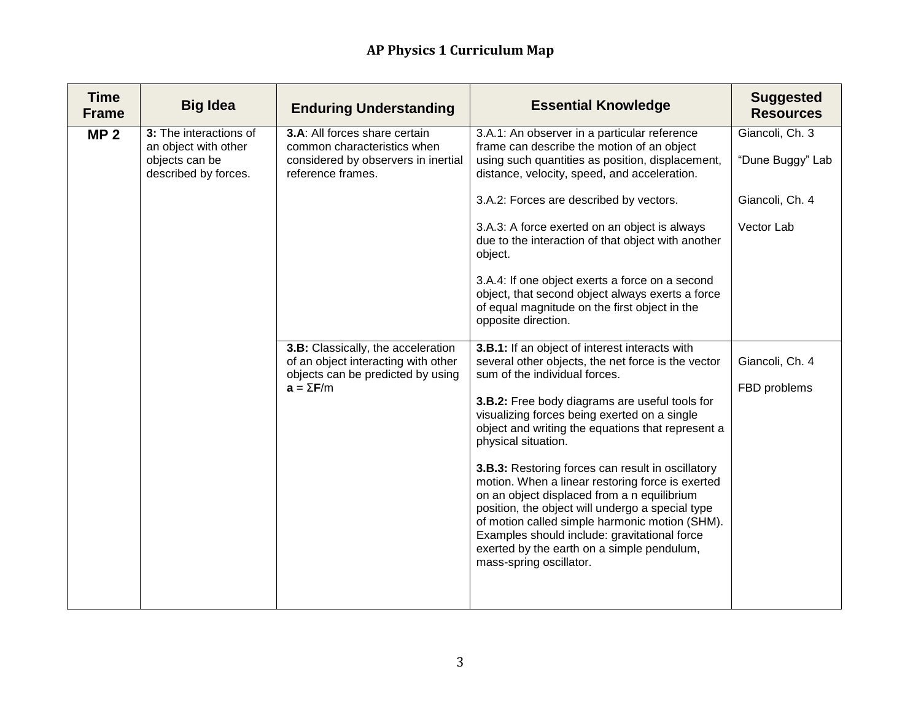| <b>Time</b><br><b>Frame</b> | <b>Big Idea</b>                                                                          | <b>Enduring Understanding</b>                                                                                                      | <b>Essential Knowledge</b>                                                                                                                                                                                                                                                                                                                                                                                                                                                                                                                                                                                                                                                                                 | <b>Suggested</b><br><b>Resources</b> |
|-----------------------------|------------------------------------------------------------------------------------------|------------------------------------------------------------------------------------------------------------------------------------|------------------------------------------------------------------------------------------------------------------------------------------------------------------------------------------------------------------------------------------------------------------------------------------------------------------------------------------------------------------------------------------------------------------------------------------------------------------------------------------------------------------------------------------------------------------------------------------------------------------------------------------------------------------------------------------------------------|--------------------------------------|
| MP <sub>2</sub>             | 3: The interactions of<br>an object with other<br>objects can be<br>described by forces. | 3.A: All forces share certain<br>common characteristics when<br>considered by observers in inertial<br>reference frames.           | 3.A.1: An observer in a particular reference<br>frame can describe the motion of an object<br>using such quantities as position, displacement,<br>distance, velocity, speed, and acceleration.                                                                                                                                                                                                                                                                                                                                                                                                                                                                                                             | Giancoli, Ch. 3<br>"Dune Buggy" Lab  |
|                             |                                                                                          |                                                                                                                                    | 3.A.2: Forces are described by vectors.                                                                                                                                                                                                                                                                                                                                                                                                                                                                                                                                                                                                                                                                    | Giancoli, Ch. 4                      |
|                             |                                                                                          |                                                                                                                                    | 3.A.3: A force exerted on an object is always<br>due to the interaction of that object with another<br>object.                                                                                                                                                                                                                                                                                                                                                                                                                                                                                                                                                                                             | Vector Lab                           |
|                             |                                                                                          |                                                                                                                                    | 3.A.4: If one object exerts a force on a second<br>object, that second object always exerts a force<br>of equal magnitude on the first object in the<br>opposite direction.                                                                                                                                                                                                                                                                                                                                                                                                                                                                                                                                |                                      |
|                             |                                                                                          | 3.B: Classically, the acceleration<br>of an object interacting with other<br>objects can be predicted by using<br>$a = \Sigma F/m$ | 3.B.1: If an object of interest interacts with<br>several other objects, the net force is the vector<br>sum of the individual forces.<br>3.B.2: Free body diagrams are useful tools for<br>visualizing forces being exerted on a single<br>object and writing the equations that represent a<br>physical situation.<br>3.B.3: Restoring forces can result in oscillatory<br>motion. When a linear restoring force is exerted<br>on an object displaced from a n equilibrium<br>position, the object will undergo a special type<br>of motion called simple harmonic motion (SHM).<br>Examples should include: gravitational force<br>exerted by the earth on a simple pendulum,<br>mass-spring oscillator. | Giancoli, Ch. 4<br>FBD problems      |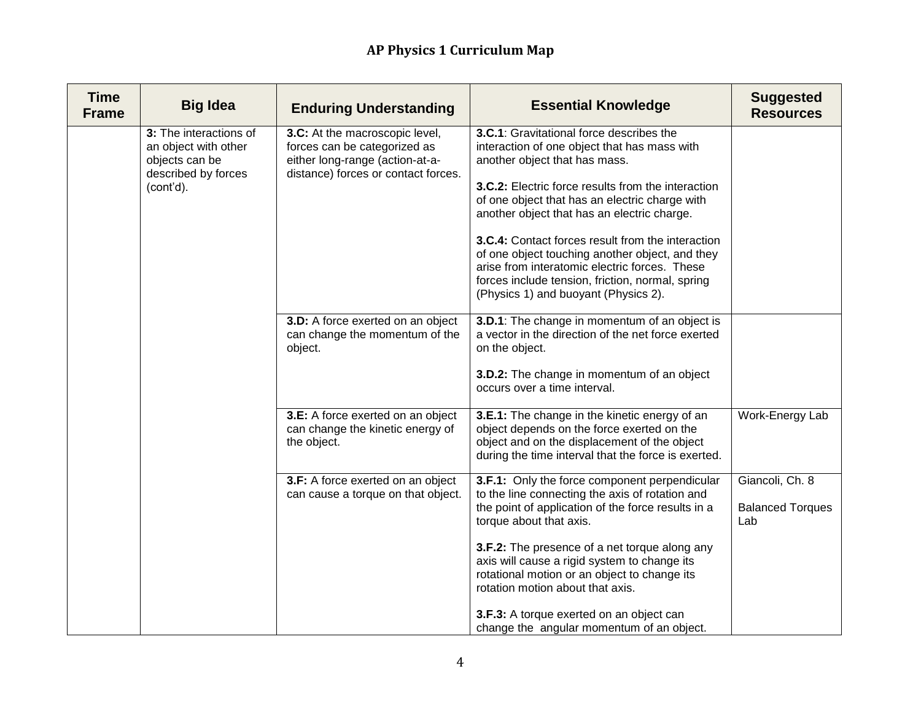| <b>Time</b><br><b>Frame</b> | <b>Big Idea</b>                                                                                      | <b>Enduring Understanding</b>                                                                                                            | <b>Essential Knowledge</b>                                                                                                                                                                                                                                                                                                                                                                                                                                                                                                            | <b>Suggested</b><br><b>Resources</b>              |
|-----------------------------|------------------------------------------------------------------------------------------------------|------------------------------------------------------------------------------------------------------------------------------------------|---------------------------------------------------------------------------------------------------------------------------------------------------------------------------------------------------------------------------------------------------------------------------------------------------------------------------------------------------------------------------------------------------------------------------------------------------------------------------------------------------------------------------------------|---------------------------------------------------|
|                             | 3: The interactions of<br>an object with other<br>objects can be<br>described by forces<br>(cont'd). | 3.C: At the macroscopic level,<br>forces can be categorized as<br>either long-range (action-at-a-<br>distance) forces or contact forces. | 3.C.1: Gravitational force describes the<br>interaction of one object that has mass with<br>another object that has mass.<br>3.C.2: Electric force results from the interaction<br>of one object that has an electric charge with<br>another object that has an electric charge.<br>3.C.4: Contact forces result from the interaction<br>of one object touching another object, and they<br>arise from interatomic electric forces. These<br>forces include tension, friction, normal, spring<br>(Physics 1) and buoyant (Physics 2). |                                                   |
|                             |                                                                                                      | 3.D: A force exerted on an object<br>can change the momentum of the<br>object.                                                           | 3.D.1: The change in momentum of an object is<br>a vector in the direction of the net force exerted<br>on the object.<br>3.D.2: The change in momentum of an object<br>occurs over a time interval.                                                                                                                                                                                                                                                                                                                                   |                                                   |
|                             |                                                                                                      | 3.E: A force exerted on an object<br>can change the kinetic energy of<br>the object.                                                     | 3.E.1: The change in the kinetic energy of an<br>object depends on the force exerted on the<br>object and on the displacement of the object<br>during the time interval that the force is exerted.                                                                                                                                                                                                                                                                                                                                    | Work-Energy Lab                                   |
|                             |                                                                                                      | 3.F: A force exerted on an object<br>can cause a torque on that object.                                                                  | 3.F.1: Only the force component perpendicular<br>to the line connecting the axis of rotation and<br>the point of application of the force results in a<br>torque about that axis.<br>3.F.2: The presence of a net torque along any<br>axis will cause a rigid system to change its<br>rotational motion or an object to change its<br>rotation motion about that axis.                                                                                                                                                                | Giancoli, Ch. 8<br><b>Balanced Torques</b><br>Lab |
|                             |                                                                                                      |                                                                                                                                          | 3.F.3: A torque exerted on an object can<br>change the angular momentum of an object.                                                                                                                                                                                                                                                                                                                                                                                                                                                 |                                                   |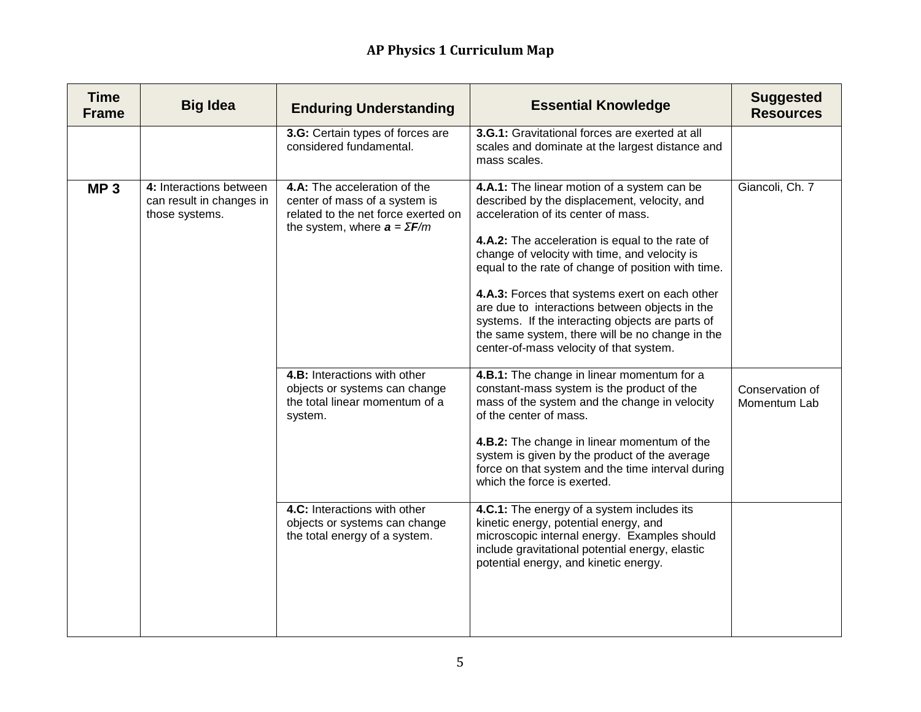| <b>Time</b><br><b>Frame</b> | <b>Big Idea</b>                                                       | <b>Enduring Understanding</b>                                                                                                              | <b>Essential Knowledge</b>                                                                                                                                                                                                                                                                                                                                                                                                                                                                                                                         | <b>Suggested</b><br><b>Resources</b> |
|-----------------------------|-----------------------------------------------------------------------|--------------------------------------------------------------------------------------------------------------------------------------------|----------------------------------------------------------------------------------------------------------------------------------------------------------------------------------------------------------------------------------------------------------------------------------------------------------------------------------------------------------------------------------------------------------------------------------------------------------------------------------------------------------------------------------------------------|--------------------------------------|
|                             |                                                                       | 3.G: Certain types of forces are<br>considered fundamental.                                                                                | 3.G.1: Gravitational forces are exerted at all<br>scales and dominate at the largest distance and<br>mass scales.                                                                                                                                                                                                                                                                                                                                                                                                                                  |                                      |
| MP <sub>3</sub>             | 4: Interactions between<br>can result in changes in<br>those systems. | 4.A: The acceleration of the<br>center of mass of a system is<br>related to the net force exerted on<br>the system, where $a = \Sigma F/m$ | 4.A.1: The linear motion of a system can be<br>described by the displacement, velocity, and<br>acceleration of its center of mass.<br>4.A.2: The acceleration is equal to the rate of<br>change of velocity with time, and velocity is<br>equal to the rate of change of position with time.<br>4.A.3: Forces that systems exert on each other<br>are due to interactions between objects in the<br>systems. If the interacting objects are parts of<br>the same system, there will be no change in the<br>center-of-mass velocity of that system. | Giancoli, Ch. 7                      |
|                             |                                                                       | 4.B: Interactions with other<br>objects or systems can change<br>the total linear momentum of a<br>system.                                 | 4.B.1: The change in linear momentum for a<br>constant-mass system is the product of the<br>mass of the system and the change in velocity<br>of the center of mass.<br>4.B.2: The change in linear momentum of the<br>system is given by the product of the average<br>force on that system and the time interval during<br>which the force is exerted.                                                                                                                                                                                            | Conservation of<br>Momentum Lab      |
|                             |                                                                       | 4.C: Interactions with other<br>objects or systems can change<br>the total energy of a system.                                             | 4.C.1: The energy of a system includes its<br>kinetic energy, potential energy, and<br>microscopic internal energy. Examples should<br>include gravitational potential energy, elastic<br>potential energy, and kinetic energy.                                                                                                                                                                                                                                                                                                                    |                                      |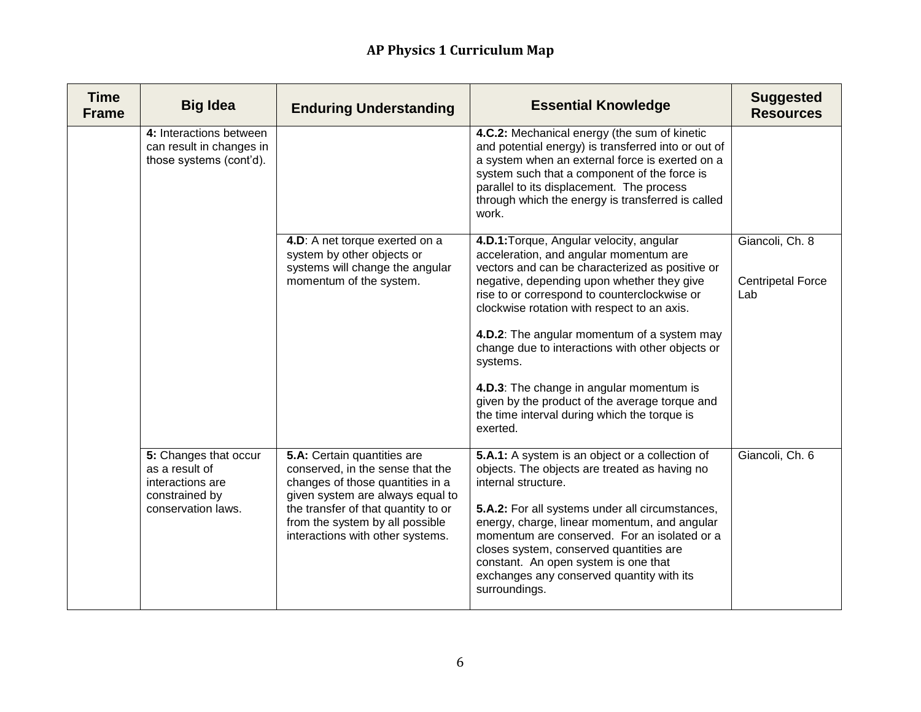| <b>Time</b><br><b>Frame</b> | <b>Big Idea</b>                                                                                     | <b>Enduring Understanding</b>                                                                                                                                                                                                                         | <b>Essential Knowledge</b>                                                                                                                                                                                                                                                                                                                                                                                                                                                                                                                                  | <b>Suggested</b><br><b>Resources</b>               |
|-----------------------------|-----------------------------------------------------------------------------------------------------|-------------------------------------------------------------------------------------------------------------------------------------------------------------------------------------------------------------------------------------------------------|-------------------------------------------------------------------------------------------------------------------------------------------------------------------------------------------------------------------------------------------------------------------------------------------------------------------------------------------------------------------------------------------------------------------------------------------------------------------------------------------------------------------------------------------------------------|----------------------------------------------------|
|                             | 4: Interactions between<br>can result in changes in<br>those systems (cont'd).                      |                                                                                                                                                                                                                                                       | 4.C.2: Mechanical energy (the sum of kinetic<br>and potential energy) is transferred into or out of<br>a system when an external force is exerted on a<br>system such that a component of the force is<br>parallel to its displacement. The process<br>through which the energy is transferred is called<br>work.                                                                                                                                                                                                                                           |                                                    |
|                             |                                                                                                     | 4.D: A net torque exerted on a<br>system by other objects or<br>systems will change the angular<br>momentum of the system.                                                                                                                            | 4.D.1: Torque, Angular velocity, angular<br>acceleration, and angular momentum are<br>vectors and can be characterized as positive or<br>negative, depending upon whether they give<br>rise to or correspond to counterclockwise or<br>clockwise rotation with respect to an axis.<br>4.D.2: The angular momentum of a system may<br>change due to interactions with other objects or<br>systems.<br>4.D.3: The change in angular momentum is<br>given by the product of the average torque and<br>the time interval during which the torque is<br>exerted. | Giancoli, Ch. 8<br><b>Centripetal Force</b><br>Lab |
|                             | 5: Changes that occur<br>as a result of<br>interactions are<br>constrained by<br>conservation laws. | 5.A: Certain quantities are<br>conserved, in the sense that the<br>changes of those quantities in a<br>given system are always equal to<br>the transfer of that quantity to or<br>from the system by all possible<br>interactions with other systems. | 5.A.1: A system is an object or a collection of<br>objects. The objects are treated as having no<br>internal structure.<br>5.A.2: For all systems under all circumstances,<br>energy, charge, linear momentum, and angular<br>momentum are conserved. For an isolated or a<br>closes system, conserved quantities are<br>constant. An open system is one that<br>exchanges any conserved quantity with its<br>surroundings.                                                                                                                                 | Giancoli, Ch. 6                                    |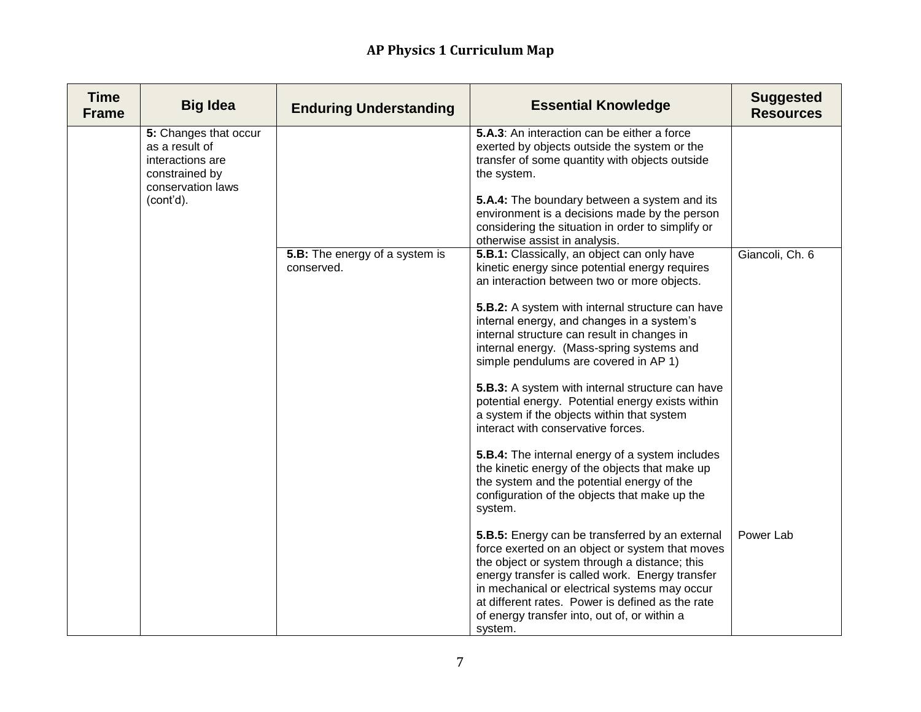| <b>Time</b><br><b>Frame</b> | <b>Big Idea</b>                                                                                                 | <b>Enduring Understanding</b>                | <b>Essential Knowledge</b>                                                                                                                                                                                                                                                                                                                                                                                                                                                                                                                                                                                                                                                                                                                                                          | <b>Suggested</b><br><b>Resources</b> |
|-----------------------------|-----------------------------------------------------------------------------------------------------------------|----------------------------------------------|-------------------------------------------------------------------------------------------------------------------------------------------------------------------------------------------------------------------------------------------------------------------------------------------------------------------------------------------------------------------------------------------------------------------------------------------------------------------------------------------------------------------------------------------------------------------------------------------------------------------------------------------------------------------------------------------------------------------------------------------------------------------------------------|--------------------------------------|
|                             | 5: Changes that occur<br>as a result of<br>interactions are<br>constrained by<br>conservation laws<br>(cont'd). |                                              | 5.A.3: An interaction can be either a force<br>exerted by objects outside the system or the<br>transfer of some quantity with objects outside<br>the system.<br>5.A.4: The boundary between a system and its<br>environment is a decisions made by the person<br>considering the situation in order to simplify or<br>otherwise assist in analysis.                                                                                                                                                                                                                                                                                                                                                                                                                                 |                                      |
|                             |                                                                                                                 | 5.B: The energy of a system is<br>conserved. | 5.B.1: Classically, an object can only have<br>kinetic energy since potential energy requires<br>an interaction between two or more objects.<br>5.B.2: A system with internal structure can have<br>internal energy, and changes in a system's<br>internal structure can result in changes in<br>internal energy. (Mass-spring systems and<br>simple pendulums are covered in AP 1)<br>5.B.3: A system with internal structure can have<br>potential energy. Potential energy exists within<br>a system if the objects within that system<br>interact with conservative forces.<br>5.B.4: The internal energy of a system includes<br>the kinetic energy of the objects that make up<br>the system and the potential energy of the<br>configuration of the objects that make up the | Giancoli, Ch. 6                      |
|                             |                                                                                                                 |                                              | system.<br>5.B.5: Energy can be transferred by an external<br>force exerted on an object or system that moves<br>the object or system through a distance; this<br>energy transfer is called work. Energy transfer<br>in mechanical or electrical systems may occur<br>at different rates. Power is defined as the rate<br>of energy transfer into, out of, or within a<br>system.                                                                                                                                                                                                                                                                                                                                                                                                   | Power Lab                            |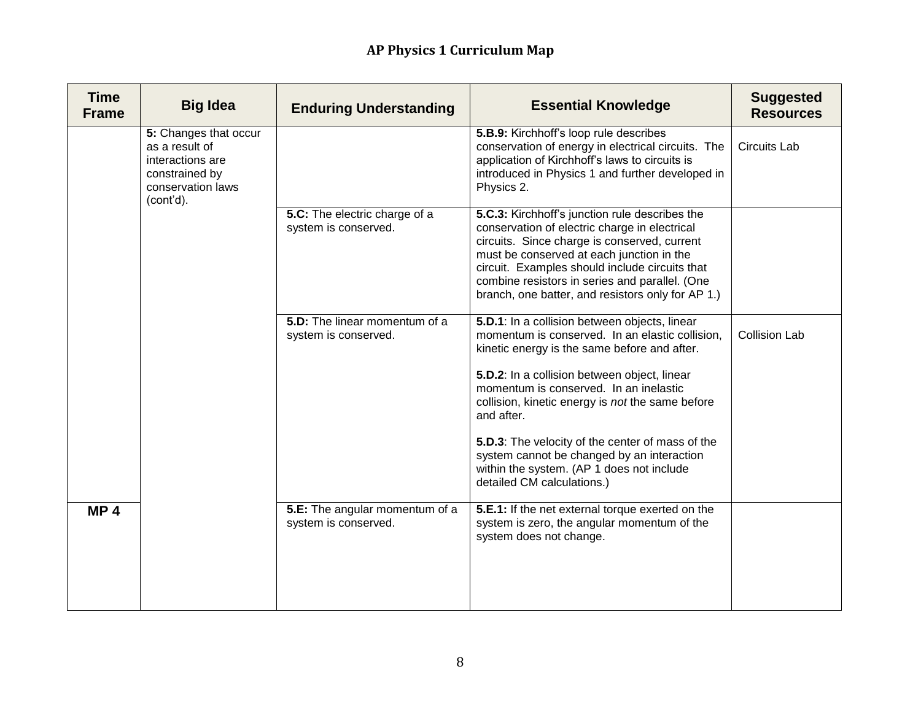| <b>Time</b><br><b>Frame</b> | <b>Big Idea</b>                                                                                                 | <b>Enduring Understanding</b>                          | <b>Essential Knowledge</b>                                                                                                                                                                                                                                                                                                                                                                                                                                                                | <b>Suggested</b><br><b>Resources</b> |
|-----------------------------|-----------------------------------------------------------------------------------------------------------------|--------------------------------------------------------|-------------------------------------------------------------------------------------------------------------------------------------------------------------------------------------------------------------------------------------------------------------------------------------------------------------------------------------------------------------------------------------------------------------------------------------------------------------------------------------------|--------------------------------------|
|                             | 5: Changes that occur<br>as a result of<br>interactions are<br>constrained by<br>conservation laws<br>(cont'd). |                                                        | 5.B.9: Kirchhoff's loop rule describes<br>conservation of energy in electrical circuits. The<br>application of Kirchhoff's laws to circuits is<br>introduced in Physics 1 and further developed in<br>Physics 2.                                                                                                                                                                                                                                                                          | <b>Circuits Lab</b>                  |
|                             |                                                                                                                 | 5.C: The electric charge of a<br>system is conserved.  | 5.C.3: Kirchhoff's junction rule describes the<br>conservation of electric charge in electrical<br>circuits. Since charge is conserved, current<br>must be conserved at each junction in the<br>circuit. Examples should include circuits that<br>combine resistors in series and parallel. (One<br>branch, one batter, and resistors only for AP 1.)                                                                                                                                     |                                      |
|                             |                                                                                                                 | 5.D: The linear momentum of a<br>system is conserved.  | 5.D.1: In a collision between objects, linear<br>momentum is conserved. In an elastic collision,<br>kinetic energy is the same before and after.<br>5.D.2: In a collision between object, linear<br>momentum is conserved. In an inelastic<br>collision, kinetic energy is not the same before<br>and after.<br>5.D.3: The velocity of the center of mass of the<br>system cannot be changed by an interaction<br>within the system. (AP 1 does not include<br>detailed CM calculations.) | <b>Collision Lab</b>                 |
| MP <sub>4</sub>             |                                                                                                                 | 5.E: The angular momentum of a<br>system is conserved. | 5.E.1: If the net external torque exerted on the<br>system is zero, the angular momentum of the<br>system does not change.                                                                                                                                                                                                                                                                                                                                                                |                                      |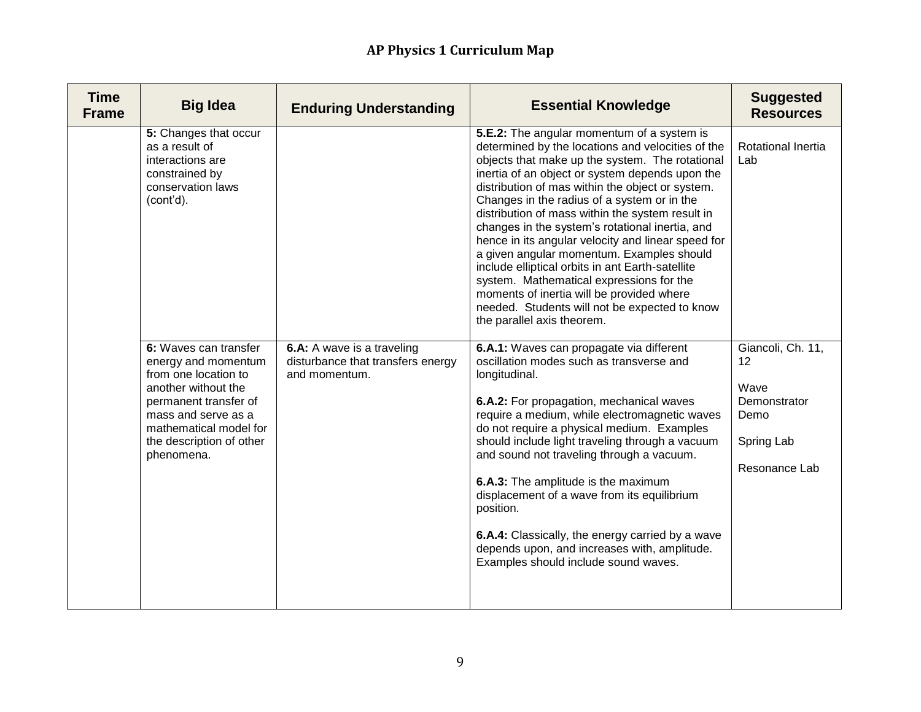| <b>Time</b><br><b>Frame</b> | <b>Big Idea</b>                                                                                                                                                                                                 | <b>Enduring Understanding</b>                                                    | <b>Essential Knowledge</b>                                                                                                                                                                                                                                                                                                                                                                                                                                                                                                                                                                                                                                                                                                                     | <b>Suggested</b><br><b>Resources</b>                                                   |
|-----------------------------|-----------------------------------------------------------------------------------------------------------------------------------------------------------------------------------------------------------------|----------------------------------------------------------------------------------|------------------------------------------------------------------------------------------------------------------------------------------------------------------------------------------------------------------------------------------------------------------------------------------------------------------------------------------------------------------------------------------------------------------------------------------------------------------------------------------------------------------------------------------------------------------------------------------------------------------------------------------------------------------------------------------------------------------------------------------------|----------------------------------------------------------------------------------------|
|                             | 5: Changes that occur<br>as a result of<br>interactions are<br>constrained by<br>conservation laws<br>(cont'd).                                                                                                 |                                                                                  | 5.E.2: The angular momentum of a system is<br>determined by the locations and velocities of the<br>objects that make up the system. The rotational<br>inertia of an object or system depends upon the<br>distribution of mas within the object or system.<br>Changes in the radius of a system or in the<br>distribution of mass within the system result in<br>changes in the system's rotational inertia, and<br>hence in its angular velocity and linear speed for<br>a given angular momentum. Examples should<br>include elliptical orbits in ant Earth-satellite<br>system. Mathematical expressions for the<br>moments of inertia will be provided where<br>needed. Students will not be expected to know<br>the parallel axis theorem. | Rotational Inertia<br>Lab                                                              |
|                             | 6: Waves can transfer<br>energy and momentum<br>from one location to<br>another without the<br>permanent transfer of<br>mass and serve as a<br>mathematical model for<br>the description of other<br>phenomena. | 6.A: A wave is a traveling<br>disturbance that transfers energy<br>and momentum. | 6.A.1: Waves can propagate via different<br>oscillation modes such as transverse and<br>longitudinal.<br>6.A.2: For propagation, mechanical waves<br>require a medium, while electromagnetic waves<br>do not require a physical medium. Examples<br>should include light traveling through a vacuum<br>and sound not traveling through a vacuum.<br>6.A.3: The amplitude is the maximum<br>displacement of a wave from its equilibrium<br>position.<br>6.A.4: Classically, the energy carried by a wave<br>depends upon, and increases with, amplitude.<br>Examples should include sound waves.                                                                                                                                                | Giancoli, Ch. 11,<br>12<br>Wave<br>Demonstrator<br>Demo<br>Spring Lab<br>Resonance Lab |